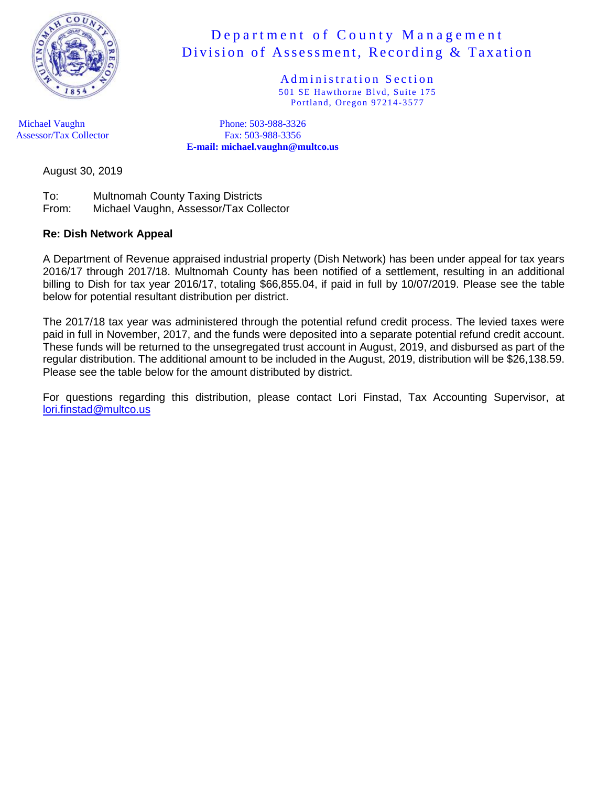

Administration Section 501 SE Hawthorne Blvd, Suite 175 Portland, Oregon 97214-3577

Michael Vaughn Phone: 503-988-3326 Assessor/Tax Collector Fax: 503-988-3356 **E-mail: michael.vaughn@multco.us**

August 30, 2019

To: Multnomah County Taxing Districts From: Michael Vaughn, Assessor/Tax Collector

#### **Re: Dish Network Appeal**

A Department of Revenue appraised industrial property (Dish Network) has been under appeal for tax years 2016/17 through 2017/18. Multnomah County has been notified of a settlement, resulting in an additional billing to Dish for tax year 2016/17, totaling \$66,855.04, if paid in full by 10/07/2019. Please see the table below for potential resultant distribution per district.

The 2017/18 tax year was administered through the potential refund credit process. The levied taxes were paid in full in November, 2017, and the funds were deposited into a separate potential refund credit account. These funds will be returned to the unsegregated trust account in August, 2019, and disbursed as part of the regular distribution. The additional amount to be included in the August, 2019, distribution will be \$26,138.59. Please see the table below for the amount distributed by district.

For questions regarding this distribution, please contact Lori Finstad, Tax Accounting Supervisor, at [lori.finstad@multco.us](mailto:lori.finstad@multco.us)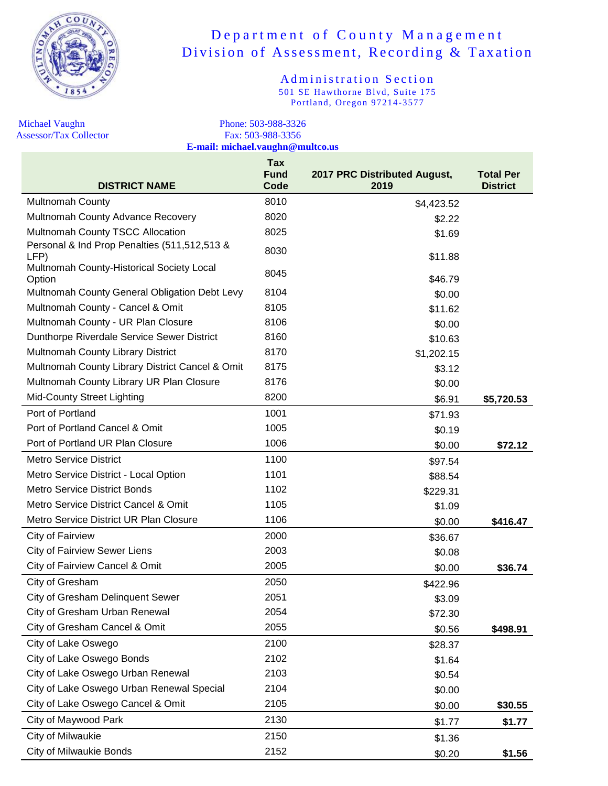

Administration Section 501 SE Hawthorne Blvd, Suite 175 Portland, Oregon 97214-3577

Assessor/Tax Collector

Michael Vaughn<br>
Assessor/Tax Collector<br>
Assessor/Tax Collector<br>
Phone: 503-988-3326<br>
Fax: 503-988-3356 **E-mail: michael.vaughn@multco.us**

| <b>DISTRICT NAME</b>                                 | Tax<br><b>Fund</b><br>Code | 2017 PRC Distributed August,<br>2019 | <b>Total Per</b><br><b>District</b> |
|------------------------------------------------------|----------------------------|--------------------------------------|-------------------------------------|
| <b>Multnomah County</b>                              | 8010                       | \$4,423.52                           |                                     |
| Multnomah County Advance Recovery                    | 8020                       | \$2.22                               |                                     |
| Multnomah County TSCC Allocation                     | 8025                       | \$1.69                               |                                     |
| Personal & Ind Prop Penalties (511,512,513 &<br>LFP) | 8030                       | \$11.88                              |                                     |
| Multnomah County-Historical Society Local<br>Option  | 8045                       | \$46.79                              |                                     |
| Multnomah County General Obligation Debt Levy        | 8104                       | \$0.00                               |                                     |
| Multnomah County - Cancel & Omit                     | 8105                       | \$11.62                              |                                     |
| Multnomah County - UR Plan Closure                   | 8106                       | \$0.00                               |                                     |
| Dunthorpe Riverdale Service Sewer District           | 8160                       | \$10.63                              |                                     |
| Multnomah County Library District                    | 8170                       | \$1,202.15                           |                                     |
| Multnomah County Library District Cancel & Omit      | 8175                       | \$3.12                               |                                     |
| Multnomah County Library UR Plan Closure             | 8176                       | \$0.00                               |                                     |
| <b>Mid-County Street Lighting</b>                    | 8200                       | \$6.91                               | \$5,720.53                          |
| Port of Portland                                     | 1001                       | \$71.93                              |                                     |
| Port of Portland Cancel & Omit                       | 1005                       | \$0.19                               |                                     |
| Port of Portland UR Plan Closure                     | 1006                       | \$0.00                               | \$72.12                             |
| <b>Metro Service District</b>                        | 1100                       | \$97.54                              |                                     |
| Metro Service District - Local Option                | 1101                       | \$88.54                              |                                     |
| <b>Metro Service District Bonds</b>                  | 1102                       | \$229.31                             |                                     |
| Metro Service District Cancel & Omit                 | 1105                       | \$1.09                               |                                     |
| Metro Service District UR Plan Closure               | 1106                       | \$0.00                               | \$416.47                            |
| City of Fairview                                     | 2000                       | \$36.67                              |                                     |
| <b>City of Fairview Sewer Liens</b>                  | 2003                       | \$0.08                               |                                     |
| City of Fairview Cancel & Omit                       | 2005                       | \$0.00                               | \$36.74                             |
| City of Gresham                                      | 2050                       | \$422.96                             |                                     |
| <b>City of Gresham Delinquent Sewer</b>              | 2051                       | \$3.09                               |                                     |
| City of Gresham Urban Renewal                        | 2054                       | \$72.30                              |                                     |
| City of Gresham Cancel & Omit                        | 2055                       | \$0.56                               | \$498.91                            |
| City of Lake Oswego                                  | 2100                       | \$28.37                              |                                     |
| City of Lake Oswego Bonds                            | 2102                       | \$1.64                               |                                     |
| City of Lake Oswego Urban Renewal                    | 2103                       | \$0.54                               |                                     |
| City of Lake Oswego Urban Renewal Special            | 2104                       | \$0.00                               |                                     |
| City of Lake Oswego Cancel & Omit                    | 2105                       | \$0.00                               | \$30.55                             |
| City of Maywood Park                                 | 2130                       | \$1.77                               | \$1.77                              |
| City of Milwaukie                                    | 2150                       | \$1.36                               |                                     |
| <b>City of Milwaukie Bonds</b>                       | 2152                       | \$0.20                               | \$1.56                              |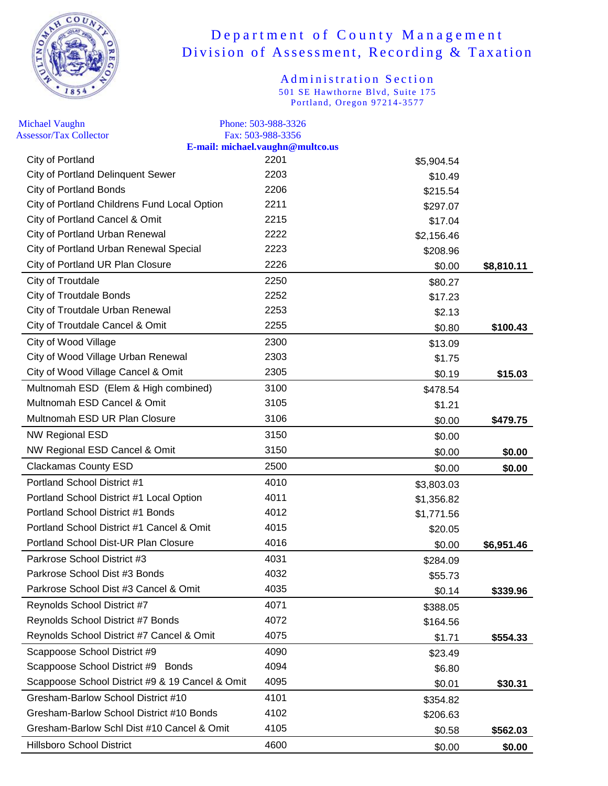

| <b>Michael Vaughn</b><br><b>Assessor/Tax Collector</b> | Phone: 503-988-3326<br>Fax: 503-988-3356 |            |            |
|--------------------------------------------------------|------------------------------------------|------------|------------|
|                                                        | E-mail: michael.vaughn@multco.us         |            |            |
| City of Portland                                       | 2201                                     | \$5,904.54 |            |
| <b>City of Portland Delinquent Sewer</b>               | 2203                                     | \$10.49    |            |
| <b>City of Portland Bonds</b>                          | 2206                                     | \$215.54   |            |
| City of Portland Childrens Fund Local Option           | 2211                                     | \$297.07   |            |
| City of Portland Cancel & Omit                         | 2215                                     | \$17.04    |            |
| City of Portland Urban Renewal                         | 2222                                     | \$2,156.46 |            |
| City of Portland Urban Renewal Special                 | 2223                                     | \$208.96   |            |
| City of Portland UR Plan Closure                       | 2226                                     | \$0.00     | \$8,810.11 |
| City of Troutdale                                      | 2250                                     | \$80.27    |            |
| <b>City of Troutdale Bonds</b>                         | 2252                                     | \$17.23    |            |
| City of Troutdale Urban Renewal                        | 2253                                     | \$2.13     |            |
| City of Troutdale Cancel & Omit                        | 2255                                     | \$0.80     | \$100.43   |
| City of Wood Village                                   | 2300                                     | \$13.09    |            |
| City of Wood Village Urban Renewal                     | 2303                                     | \$1.75     |            |
| City of Wood Village Cancel & Omit                     | 2305                                     | \$0.19     | \$15.03    |
| Multnomah ESD (Elem & High combined)                   | 3100                                     | \$478.54   |            |
| Multnomah ESD Cancel & Omit                            | 3105                                     | \$1.21     |            |
| Multnomah ESD UR Plan Closure                          | 3106                                     | \$0.00     | \$479.75   |
| NW Regional ESD                                        | 3150                                     | \$0.00     |            |
| NW Regional ESD Cancel & Omit                          | 3150                                     | \$0.00     | \$0.00     |
| <b>Clackamas County ESD</b>                            | 2500                                     | \$0.00     | \$0.00     |
| Portland School District #1                            | 4010                                     | \$3,803.03 |            |
| Portland School District #1 Local Option               | 4011                                     | \$1,356.82 |            |
| Portland School District #1 Bonds                      | 4012                                     | \$1,771.56 |            |
| Portland School District #1 Cancel & Omit              | 4015                                     | \$20.05    |            |
| Portland School Dist-UR Plan Closure                   | 4016                                     | \$0.00     | \$6,951.46 |
| Parkrose School District #3                            | 4031                                     | \$284.09   |            |
| Parkrose School Dist #3 Bonds                          | 4032                                     | \$55.73    |            |
| Parkrose School Dist #3 Cancel & Omit                  | 4035                                     | \$0.14     | \$339.96   |
| Reynolds School District #7                            | 4071                                     | \$388.05   |            |
| Reynolds School District #7 Bonds                      | 4072                                     | \$164.56   |            |
| Reynolds School District #7 Cancel & Omit              | 4075                                     | \$1.71     | \$554.33   |
| Scappoose School District #9                           | 4090                                     | \$23.49    |            |
| Scappoose School District #9 Bonds                     | 4094                                     | \$6.80     |            |
| Scappoose School District #9 & 19 Cancel & Omit        | 4095                                     | \$0.01     | \$30.31    |
| Gresham-Barlow School District #10                     | 4101                                     | \$354.82   |            |
| Gresham-Barlow School District #10 Bonds               | 4102                                     | \$206.63   |            |
| Gresham-Barlow Schl Dist #10 Cancel & Omit             | 4105                                     | \$0.58     | \$562.03   |
| <b>Hillsboro School District</b>                       | 4600                                     | \$0.00     | \$0.00     |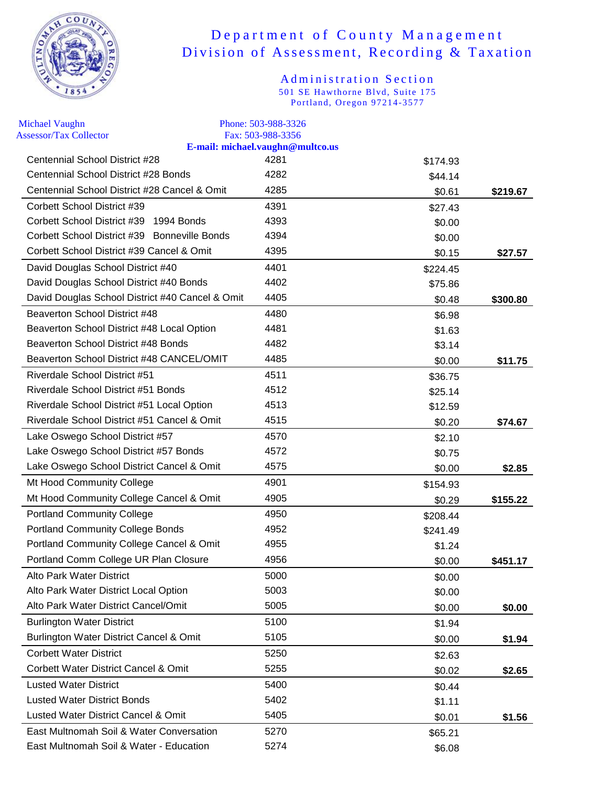

| <b>Michael Vaughn</b>                           | Phone: 503-988-3326                                   |          |          |
|-------------------------------------------------|-------------------------------------------------------|----------|----------|
| <b>Assessor/Tax Collector</b>                   | Fax: 503-988-3356<br>E-mail: michael.vaughn@multco.us |          |          |
| Centennial School District #28                  | 4281                                                  | \$174.93 |          |
| Centennial School District #28 Bonds            | 4282                                                  | \$44.14  |          |
| Centennial School District #28 Cancel & Omit    | 4285                                                  | \$0.61   | \$219.67 |
| Corbett School District #39                     | 4391                                                  | \$27.43  |          |
| Corbett School District #39<br>1994 Bonds       | 4393                                                  | \$0.00   |          |
| Corbett School District #39 Bonneville Bonds    | 4394                                                  | \$0.00   |          |
| Corbett School District #39 Cancel & Omit       | 4395                                                  | \$0.15   | \$27.57  |
| David Douglas School District #40               | 4401                                                  | \$224.45 |          |
| David Douglas School District #40 Bonds         | 4402                                                  | \$75.86  |          |
| David Douglas School District #40 Cancel & Omit | 4405                                                  | \$0.48   | \$300.80 |
| Beaverton School District #48                   | 4480                                                  | \$6.98   |          |
| Beaverton School District #48 Local Option      | 4481                                                  | \$1.63   |          |
| Beaverton School District #48 Bonds             | 4482                                                  | \$3.14   |          |
| Beaverton School District #48 CANCEL/OMIT       | 4485                                                  | \$0.00   | \$11.75  |
| <b>Riverdale School District #51</b>            | 4511                                                  | \$36.75  |          |
| Riverdale School District #51 Bonds             | 4512                                                  | \$25.14  |          |
| Riverdale School District #51 Local Option      | 4513                                                  | \$12.59  |          |
| Riverdale School District #51 Cancel & Omit     | 4515                                                  | \$0.20   | \$74.67  |
| Lake Oswego School District #57                 | 4570                                                  | \$2.10   |          |
| Lake Oswego School District #57 Bonds           | 4572                                                  | \$0.75   |          |
| Lake Oswego School District Cancel & Omit       | 4575                                                  | \$0.00   | \$2.85   |
| Mt Hood Community College                       | 4901                                                  | \$154.93 |          |
| Mt Hood Community College Cancel & Omit         | 4905                                                  | \$0.29   | \$155.22 |
| <b>Portland Community College</b>               | 4950                                                  | \$208.44 |          |
| <b>Portland Community College Bonds</b>         | 4952                                                  | \$241.49 |          |
| Portland Community College Cancel & Omit        | 4955                                                  | \$1.24   |          |
| Portland Comm College UR Plan Closure           | 4956                                                  | \$0.00   | \$451.17 |
| Alto Park Water District                        | 5000                                                  | \$0.00   |          |
| Alto Park Water District Local Option           | 5003                                                  | \$0.00   |          |
| Alto Park Water District Cancel/Omit            | 5005                                                  | \$0.00   | \$0.00   |
| <b>Burlington Water District</b>                | 5100                                                  | \$1.94   |          |
| Burlington Water District Cancel & Omit         | 5105                                                  | \$0.00   | \$1.94   |
| <b>Corbett Water District</b>                   | 5250                                                  | \$2.63   |          |
| <b>Corbett Water District Cancel &amp; Omit</b> | 5255                                                  | \$0.02   | \$2.65   |
| <b>Lusted Water District</b>                    | 5400                                                  | \$0.44   |          |
| <b>Lusted Water District Bonds</b>              | 5402                                                  | \$1.11   |          |
| Lusted Water District Cancel & Omit             | 5405                                                  | \$0.01   | \$1.56   |
| East Multnomah Soil & Water Conversation        | 5270                                                  | \$65.21  |          |
| East Multnomah Soil & Water - Education         | 5274                                                  | \$6.08   |          |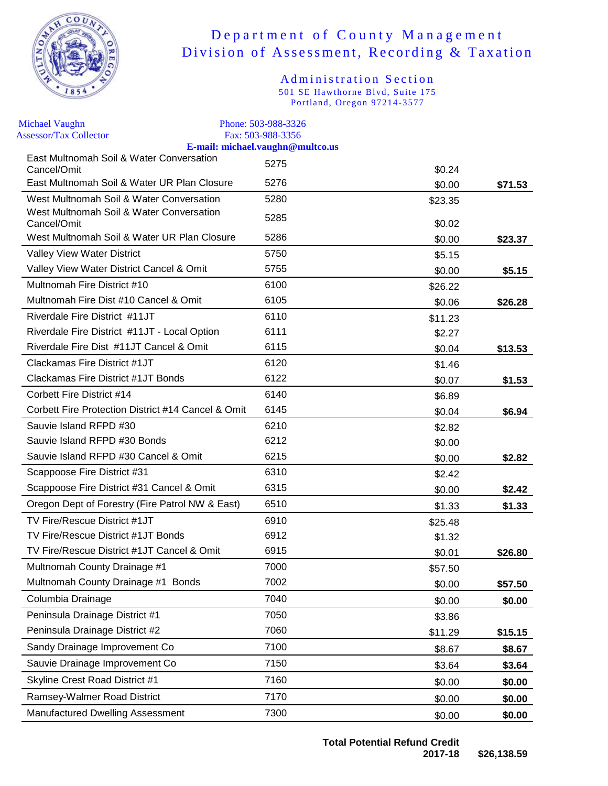

| <b>Michael Vaughn</b><br><b>Assessor/Tax Collector</b>  | Phone: 503-988-3326<br>Fax: 503-988-3356 |         |         |
|---------------------------------------------------------|------------------------------------------|---------|---------|
|                                                         | E-mail: michael.vaughn@multco.us         |         |         |
| East Multnomah Soil & Water Conversation<br>Cancel/Omit | 5275                                     | \$0.24  |         |
| East Multnomah Soil & Water UR Plan Closure             | 5276                                     | \$0.00  | \$71.53 |
| West Multnomah Soil & Water Conversation                | 5280                                     | \$23.35 |         |
| West Multnomah Soil & Water Conversation<br>Cancel/Omit | 5285                                     | \$0.02  |         |
| West Multnomah Soil & Water UR Plan Closure             | 5286                                     | \$0.00  | \$23.37 |
| Valley View Water District                              | 5750                                     | \$5.15  |         |
| Valley View Water District Cancel & Omit                | 5755                                     | \$0.00  | \$5.15  |
| Multnomah Fire District #10                             | 6100                                     | \$26.22 |         |
| Multnomah Fire Dist #10 Cancel & Omit                   | 6105                                     | \$0.06  | \$26.28 |
| Riverdale Fire District #11JT                           | 6110                                     | \$11.23 |         |
| Riverdale Fire District #11JT - Local Option            | 6111                                     | \$2.27  |         |
| Riverdale Fire Dist #11JT Cancel & Omit                 | 6115                                     | \$0.04  | \$13.53 |
| Clackamas Fire District #1JT                            | 6120                                     | \$1.46  |         |
| Clackamas Fire District #1JT Bonds                      | 6122                                     | \$0.07  | \$1.53  |
| Corbett Fire District #14                               | 6140                                     | \$6.89  |         |
| Corbett Fire Protection District #14 Cancel & Omit      | 6145                                     | \$0.04  | \$6.94  |
| Sauvie Island RFPD #30                                  | 6210                                     | \$2.82  |         |
| Sauvie Island RFPD #30 Bonds                            | 6212                                     | \$0.00  |         |
| Sauvie Island RFPD #30 Cancel & Omit                    | 6215                                     | \$0.00  | \$2.82  |
| Scappoose Fire District #31                             | 6310                                     | \$2.42  |         |
| Scappoose Fire District #31 Cancel & Omit               | 6315                                     | \$0.00  | \$2.42  |
| Oregon Dept of Forestry (Fire Patrol NW & East)         | 6510                                     | \$1.33  | \$1.33  |
| TV Fire/Rescue District #1JT                            | 6910                                     | \$25.48 |         |
| TV Fire/Rescue District #1JT Bonds                      | 6912                                     | \$1.32  |         |
| TV Fire/Rescue District #1JT Cancel & Omit              | 6915                                     | \$0.01  | \$26.80 |
| Multnomah County Drainage #1                            | 7000                                     | \$57.50 |         |
| Multnomah County Drainage #1 Bonds                      | 7002                                     | \$0.00  | \$57.50 |
| Columbia Drainage                                       | 7040                                     | \$0.00  | \$0.00  |
| Peninsula Drainage District #1                          | 7050                                     | \$3.86  |         |
| Peninsula Drainage District #2                          | 7060                                     | \$11.29 | \$15.15 |
| Sandy Drainage Improvement Co                           | 7100                                     | \$8.67  | \$8.67  |
| Sauvie Drainage Improvement Co                          | 7150                                     | \$3.64  | \$3.64  |
| Skyline Crest Road District #1                          | 7160                                     | \$0.00  | \$0.00  |
| Ramsey-Walmer Road District                             | 7170                                     | \$0.00  | \$0.00  |
| Manufactured Dwelling Assessment                        | 7300                                     | \$0.00  | \$0.00  |
|                                                         |                                          |         |         |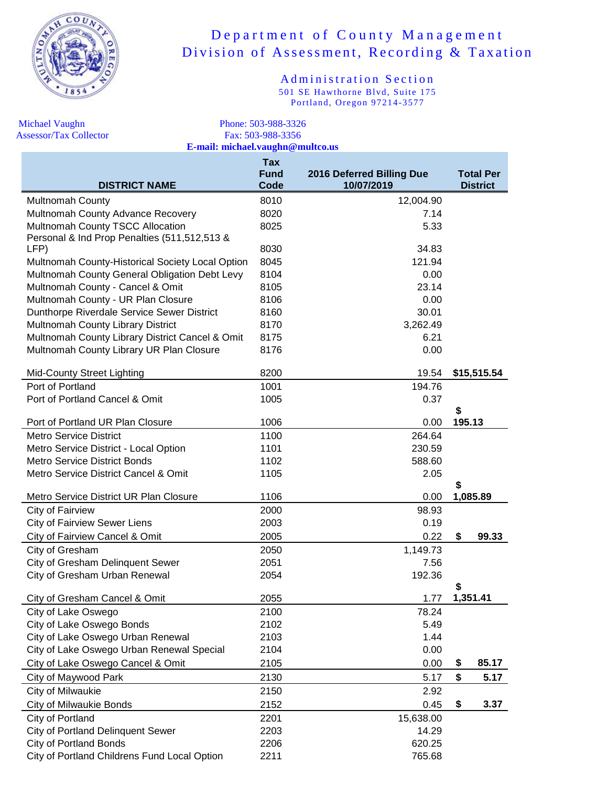

Administration Section 501 SE Hawthorne Blvd, Suite 175 Portland, Oregon 97214-3577

Michael Vaughn Phone: 503-988-3326 Assessor/Tax Collector Fax: 503-988-3356 **E-mail: michael.vaughn@multco.us**

| <b>DISTRICT NAME</b>                             | <b>Tax</b><br><b>Fund</b><br>Code | 2016 Deferred Billing Due<br>10/07/2019 |        | <b>Total Per</b><br><b>District</b> |
|--------------------------------------------------|-----------------------------------|-----------------------------------------|--------|-------------------------------------|
| <b>Multnomah County</b>                          | 8010                              | 12,004.90                               |        |                                     |
| Multnomah County Advance Recovery                | 8020                              | 7.14                                    |        |                                     |
| Multnomah County TSCC Allocation                 | 8025                              | 5.33                                    |        |                                     |
| Personal & Ind Prop Penalties (511,512,513 &     |                                   |                                         |        |                                     |
| LFP)                                             | 8030                              | 34.83                                   |        |                                     |
| Multnomah County-Historical Society Local Option | 8045                              | 121.94                                  |        |                                     |
| Multnomah County General Obligation Debt Levy    | 8104                              | 0.00                                    |        |                                     |
| Multnomah County - Cancel & Omit                 | 8105                              | 23.14                                   |        |                                     |
| Multnomah County - UR Plan Closure               | 8106                              | 0.00                                    |        |                                     |
| Dunthorpe Riverdale Service Sewer District       | 8160                              | 30.01                                   |        |                                     |
| Multnomah County Library District                | 8170                              | 3,262.49                                |        |                                     |
| Multnomah County Library District Cancel & Omit  | 8175                              | 6.21                                    |        |                                     |
| Multnomah County Library UR Plan Closure         | 8176                              | 0.00                                    |        |                                     |
| <b>Mid-County Street Lighting</b>                | 8200                              | 19.54                                   |        | \$15,515.54                         |
| Port of Portland                                 | 1001                              | 194.76                                  |        |                                     |
| Port of Portland Cancel & Omit                   | 1005                              | 0.37                                    |        |                                     |
|                                                  |                                   |                                         | S      |                                     |
| Port of Portland UR Plan Closure                 | 1006                              | 0.00                                    | 195.13 |                                     |
| <b>Metro Service District</b>                    | 1100                              | 264.64                                  |        |                                     |
| Metro Service District - Local Option            | 1101                              | 230.59                                  |        |                                     |
| <b>Metro Service District Bonds</b>              | 1102                              | 588.60                                  |        |                                     |
| Metro Service District Cancel & Omit             | 1105                              | 2.05                                    | S      |                                     |
| Metro Service District UR Plan Closure           | 1106                              | 0.00                                    |        | 1,085.89                            |
| City of Fairview                                 | 2000                              | 98.93                                   |        |                                     |
| <b>City of Fairview Sewer Liens</b>              | 2003                              | 0.19                                    |        |                                     |
| City of Fairview Cancel & Omit                   | 2005                              | 0.22                                    | \$     | 99.33                               |
| City of Gresham                                  | 2050                              | 1,149.73                                |        |                                     |
| City of Gresham Delinquent Sewer                 | 2051                              | 7.56                                    |        |                                     |
| City of Gresham Urban Renewal                    | 2054                              | 192.36                                  |        |                                     |
|                                                  |                                   |                                         | \$     |                                     |
| City of Gresham Cancel & Omit                    | 2055                              | 1.77                                    |        | 1,351.41                            |
| City of Lake Oswego                              | 2100                              | 78.24                                   |        |                                     |
| City of Lake Oswego Bonds                        | 2102                              | 5.49                                    |        |                                     |
| City of Lake Oswego Urban Renewal                | 2103                              | 1.44                                    |        |                                     |
| City of Lake Oswego Urban Renewal Special        | 2104                              | 0.00                                    |        |                                     |
| City of Lake Oswego Cancel & Omit                | 2105                              | 0.00                                    | \$     | 85.17                               |
| City of Maywood Park                             | 2130                              | 5.17                                    | \$     | 5.17                                |
| City of Milwaukie                                | 2150                              | 2.92                                    |        |                                     |
| <b>City of Milwaukie Bonds</b>                   | 2152                              | 0.45                                    | \$     | 3.37                                |
| City of Portland                                 | 2201                              | 15,638.00                               |        |                                     |
| <b>City of Portland Delinquent Sewer</b>         | 2203                              | 14.29                                   |        |                                     |
| <b>City of Portland Bonds</b>                    | 2206                              | 620.25                                  |        |                                     |

City of Portland Childrens Fund Local Option 2211 765.68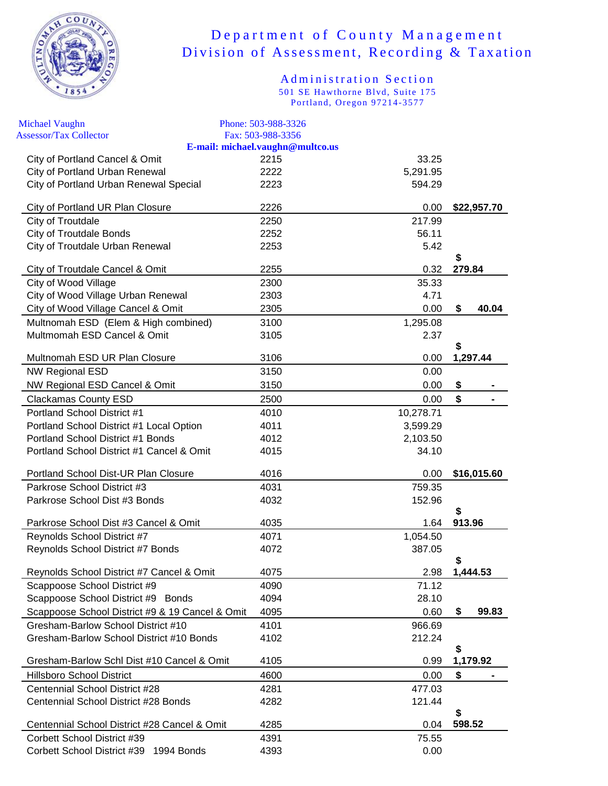

| <b>Michael Vaughn</b>                           | Phone: 503-988-3326                                   |           |              |             |
|-------------------------------------------------|-------------------------------------------------------|-----------|--------------|-------------|
| <b>Assessor/Tax Collector</b>                   | Fax: 503-988-3356<br>E-mail: michael.vaughn@multco.us |           |              |             |
| City of Portland Cancel & Omit                  | 2215                                                  | 33.25     |              |             |
| City of Portland Urban Renewal                  | 2222                                                  | 5,291.95  |              |             |
| City of Portland Urban Renewal Special          | 2223                                                  | 594.29    |              |             |
| City of Portland UR Plan Closure                | 2226                                                  | 0.00      |              | \$22,957.70 |
| City of Troutdale                               | 2250                                                  | 217.99    |              |             |
| <b>City of Troutdale Bonds</b>                  | 2252                                                  | 56.11     |              |             |
| City of Troutdale Urban Renewal                 | 2253                                                  | 5.42      | \$           |             |
| City of Troutdale Cancel & Omit                 | 2255                                                  | 0.32      | 279.84       |             |
| City of Wood Village                            | 2300                                                  | 35.33     |              |             |
| City of Wood Village Urban Renewal              | 2303                                                  | 4.71      |              |             |
| City of Wood Village Cancel & Omit              | 2305                                                  | 0.00      | \$           | 40.04       |
| Multnomah ESD (Elem & High combined)            | 3100                                                  | 1,295.08  |              |             |
| Multmomah ESD Cancel & Omit                     | 3105                                                  | 2.37      |              |             |
| Multnomah ESD UR Plan Closure                   | 3106                                                  | 0.00      | \$           | 1,297.44    |
| <b>NW Regional ESD</b>                          | 3150                                                  | 0.00      |              |             |
| NW Regional ESD Cancel & Omit                   | 3150                                                  | 0.00      | \$           |             |
| <b>Clackamas County ESD</b>                     | 2500                                                  | 0.00      | \$           |             |
| Portland School District #1                     | 4010                                                  | 10,278.71 |              |             |
| Portland School District #1 Local Option        | 4011                                                  | 3,599.29  |              |             |
| Portland School District #1 Bonds               | 4012                                                  | 2,103.50  |              |             |
| Portland School District #1 Cancel & Omit       | 4015                                                  | 34.10     |              |             |
| Portland School Dist-UR Plan Closure            | 4016                                                  | 0.00      |              | \$16,015.60 |
| Parkrose School District #3                     | 4031                                                  | 759.35    |              |             |
| Parkrose School Dist #3 Bonds                   | 4032                                                  | 152.96    | \$           |             |
| Parkrose School Dist #3 Cancel & Omit           | 4035                                                  | 1.64      | 913.96       |             |
| Reynolds School District #7                     | 4071                                                  | 1,054.50  |              |             |
| Reynolds School District #7 Bonds               | 4072                                                  | 387.05    |              |             |
| Reynolds School District #7 Cancel & Omit       | 4075                                                  | 2.98      | S            | 1,444.53    |
| Scappoose School District #9                    | 4090                                                  | 71.12     |              |             |
| Scappoose School District #9 Bonds              | 4094                                                  | 28.10     |              |             |
| Scappoose School District #9 & 19 Cancel & Omit | 4095                                                  | 0.60      | \$           | 99.83       |
| Gresham-Barlow School District #10              | 4101                                                  | 966.69    |              |             |
| Gresham-Barlow School District #10 Bonds        | 4102                                                  | 212.24    |              |             |
| Gresham-Barlow Schl Dist #10 Cancel & Omit      | 4105                                                  | 0.99      | \$           | 1,179.92    |
| <b>Hillsboro School District</b>                | 4600                                                  | 0.00      | \$           |             |
| Centennial School District #28                  | 4281                                                  | 477.03    |              |             |
| Centennial School District #28 Bonds            | 4282                                                  | 121.44    |              |             |
| Centennial School District #28 Cancel & Omit    | 4285                                                  | 0.04      | \$<br>598.52 |             |
| Corbett School District #39                     | 4391                                                  | 75.55     |              |             |
| Corbett School District #39 1994 Bonds          | 4393                                                  | 0.00      |              |             |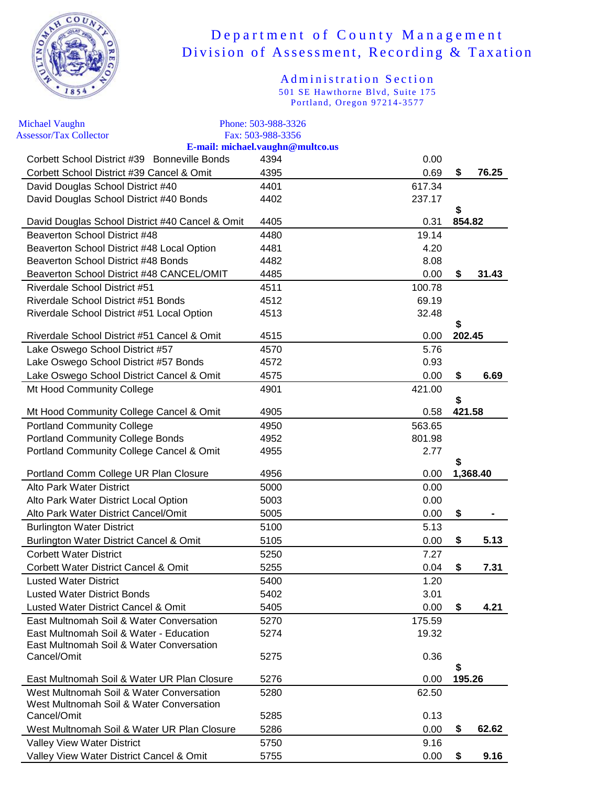

| <b>Michael Vaughn</b>                                                                | Phone: 503-988-3326              |                  |    |          |
|--------------------------------------------------------------------------------------|----------------------------------|------------------|----|----------|
| <b>Assessor/Tax Collector</b>                                                        | Fax: 503-988-3356                |                  |    |          |
| Corbett School District #39 Bonneville Bonds                                         | E-mail: michael.vaughn@multco.us | 0.00             |    |          |
| Corbett School District #39 Cancel & Omit                                            | 4394<br>4395                     | 0.69             | \$ | 76.25    |
|                                                                                      |                                  |                  |    |          |
| David Douglas School District #40<br>David Douglas School District #40 Bonds         | 4401<br>4402                     | 617.34<br>237.17 |    |          |
|                                                                                      |                                  |                  | \$ |          |
| David Douglas School District #40 Cancel & Omit                                      | 4405                             | 0.31             |    | 854.82   |
| Beaverton School District #48                                                        | 4480                             | 19.14            |    |          |
| Beaverton School District #48 Local Option                                           | 4481                             | 4.20             |    |          |
| Beaverton School District #48 Bonds                                                  | 4482                             | 8.08             |    |          |
| Beaverton School District #48 CANCEL/OMIT                                            | 4485                             | 0.00             | \$ | 31.43    |
| <b>Riverdale School District #51</b>                                                 | 4511                             | 100.78           |    |          |
| Riverdale School District #51 Bonds                                                  | 4512                             | 69.19            |    |          |
| Riverdale School District #51 Local Option                                           | 4513                             | 32.48            |    |          |
|                                                                                      |                                  |                  | \$ |          |
| Riverdale School District #51 Cancel & Omit                                          | 4515                             | 0.00             |    | 202.45   |
| Lake Oswego School District #57                                                      | 4570                             | 5.76             |    |          |
| Lake Oswego School District #57 Bonds                                                | 4572                             | 0.93             |    |          |
| Lake Oswego School District Cancel & Omit                                            | 4575                             | 0.00             | \$ | 6.69     |
| Mt Hood Community College                                                            | 4901                             | 421.00           |    |          |
| Mt Hood Community College Cancel & Omit                                              | 4905                             | 0.58             | \$ | 421.58   |
| <b>Portland Community College</b>                                                    | 4950                             | 563.65           |    |          |
| <b>Portland Community College Bonds</b>                                              | 4952                             | 801.98           |    |          |
| Portland Community College Cancel & Omit                                             | 4955                             | 2.77             |    |          |
|                                                                                      |                                  |                  | S  |          |
| Portland Comm College UR Plan Closure                                                | 4956                             | 0.00             |    | 1,368.40 |
| <b>Alto Park Water District</b>                                                      | 5000                             | 0.00             |    |          |
| Alto Park Water District Local Option                                                | 5003                             | 0.00             |    |          |
| Alto Park Water District Cancel/Omit                                                 | 5005                             | 0.00             | \$ |          |
| <b>Burlington Water District</b>                                                     | 5100                             | 5.13             |    |          |
| Burlington Water District Cancel & Omit                                              | 5105                             | 0.00             | \$ | 5.13     |
| <b>Corbett Water District</b>                                                        | 5250                             | 7.27             |    |          |
| Corbett Water District Cancel & Omit                                                 | 5255                             | 0.04             | \$ | 7.31     |
| <b>Lusted Water District</b>                                                         | 5400                             | 1.20             |    |          |
| <b>Lusted Water District Bonds</b>                                                   | 5402                             | 3.01             |    |          |
| Lusted Water District Cancel & Omit                                                  | 5405                             | 0.00             | \$ | 4.21     |
| East Multnomah Soil & Water Conversation                                             | 5270                             | 175.59           |    |          |
| East Multnomah Soil & Water - Education                                              | 5274                             | 19.32            |    |          |
| East Multnomah Soil & Water Conversation                                             |                                  |                  |    |          |
| Cancel/Omit                                                                          | 5275                             | 0.36             |    |          |
|                                                                                      |                                  |                  | S  |          |
| East Multnomah Soil & Water UR Plan Closure                                          | 5276                             | 0.00             |    | 195.26   |
| West Multnomah Soil & Water Conversation<br>West Multnomah Soil & Water Conversation | 5280                             | 62.50            |    |          |
| Cancel/Omit                                                                          | 5285                             | 0.13             |    |          |
| West Multnomah Soil & Water UR Plan Closure                                          | 5286                             | 0.00             | \$ | 62.62    |
| Valley View Water District                                                           | 5750                             | 9.16             |    |          |
| Valley View Water District Cancel & Omit                                             | 5755                             | 0.00             | \$ | 9.16     |
|                                                                                      |                                  |                  |    |          |